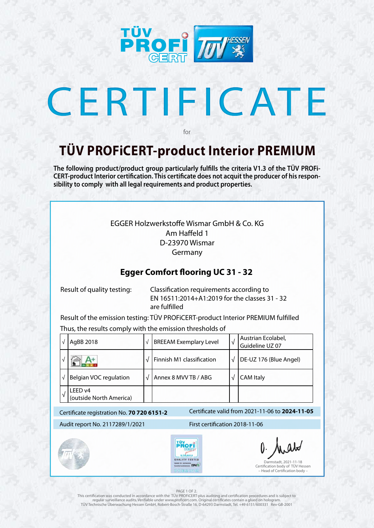

# CERTIFICATE

### **TÜV PROFiCERT-product Interior PREMIUM**

for

**The following product/product group particularly fulfills the criteria V1.3 of the TÜV PROFi-CERT-product Interior certification. This certificate does not acquit the producer of his responsibility to comply with all legal requirements and product properties.** 

| $\sqrt{}$                                                                                     | AgBB 2018                          | $\sqrt{}$ | <b>BREEAM Exemplary Level</b>                                                                                                                                                                                                                                                                                                                                                                    | $\sqrt{2}$ | Austrian Ecolabel,<br>Guideline UZ 07                                                                   |  |
|-----------------------------------------------------------------------------------------------|------------------------------------|-----------|--------------------------------------------------------------------------------------------------------------------------------------------------------------------------------------------------------------------------------------------------------------------------------------------------------------------------------------------------------------------------------------------------|------------|---------------------------------------------------------------------------------------------------------|--|
| $\sqrt{}$                                                                                     |                                    | $\sqrt{}$ | Finnish M1 classification                                                                                                                                                                                                                                                                                                                                                                        | $\sqrt{ }$ | DE-UZ 176 (Blue Angel)                                                                                  |  |
| $\sqrt{}$                                                                                     | <b>Belgian VOC regulation</b>      | $\sqrt{}$ | Annex 8 MVV TB / ABG                                                                                                                                                                                                                                                                                                                                                                             | $\sqrt{}$  | <b>CAM Italy</b>                                                                                        |  |
| $\sqrt{ }$                                                                                    | LEED v4<br>(outside North America) |           |                                                                                                                                                                                                                                                                                                                                                                                                  |            |                                                                                                         |  |
| Certificate valid from 2021-11-06 to 2024-11-05<br>Certificate registration No. 70 720 6151-2 |                                    |           |                                                                                                                                                                                                                                                                                                                                                                                                  |            |                                                                                                         |  |
| Audit report No. 2117289/1/2021                                                               |                                    |           | First certification 2018-11-06                                                                                                                                                                                                                                                                                                                                                                   |            |                                                                                                         |  |
|                                                                                               |                                    |           | TÜV<br><b>Armid Interaces EPH?</b><br>PREMIUM                                                                                                                                                                                                                                                                                                                                                    |            | O. Arabs<br>Darmstadt, 2021-11-18<br>Certification body of TÜV Hessen<br>- Head of Certification body - |  |
|                                                                                               |                                    |           | PAGE 1 OF 2.<br>This certification was conducted in accordance with the TÜV PROFICERT-plus auditing and certification procedures and is subject to<br>regular surveillance audits. Verifiable under www.proficert.com. Original certificates contain a glued on hologram.<br>TÜV Technische Überwachung Hessen GmbH, Robert-Bosch-Straße 16, D-64293 Darmstadt, Tel. +49 6151/600331 Rev-GB-2001 |            |                                                                                                         |  |

### EGGER Holzwerkstoffe Wismar GmbH & Co. KG Am Haffeld 1 D-23970 Wismar Germany

### **Egger Comfort flooring UC 31 - 32**

 Result of quality testing: Classification requirements according to EN 16511:2014+A1:2019 for the classes 31 - 32 are fulfilled

Result of the emission testing: TÜV PROFiCERT-product Interior PREMIUM fulfilled

Thus, the results comply with the emission thresholds of